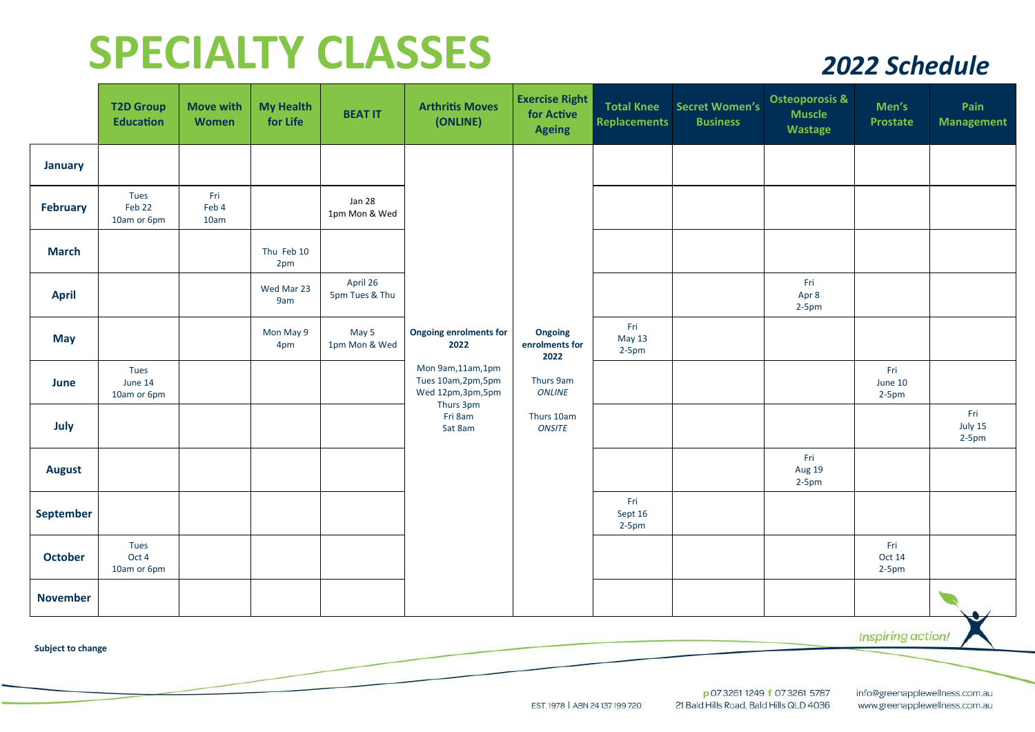## **SPECIALTY CLASSES** *2022 Schedule*

|                 | <b>T2D Group</b><br><b>Education</b> | <b>Move with</b><br>Women | <b>My Health</b><br>for Life | <b>BEAT IT</b>             | <b>Arthritis Moves</b><br>(ONLINE)                                                                                                        | <b>Exercise Right</b><br>for Active<br><b>Ageing</b>                                    | <b>Total Knee</b><br>Replacements | <b>Secret Women's</b><br><b>Business</b> | <b>Osteoporosis &amp;</b><br><b>Muscle</b><br>Wastage | Men's<br><b>Prostate</b>   | Pain<br><b>Management</b> |
|-----------------|--------------------------------------|---------------------------|------------------------------|----------------------------|-------------------------------------------------------------------------------------------------------------------------------------------|-----------------------------------------------------------------------------------------|-----------------------------------|------------------------------------------|-------------------------------------------------------|----------------------------|---------------------------|
| <b>January</b>  |                                      |                           |                              |                            | <b>Ongoing enrolments for</b><br>2022<br>Mon 9am, 11am, 1pm<br>Tues 10am, 2pm, 5pm<br>Wed 12pm,3pm,5pm<br>Thurs 3pm<br>Fri 8am<br>Sat 8am | Ongoing<br>enrolments for<br>2022<br>Thurs 9am<br><b>ONLINE</b><br>Thurs 10am<br>ONSITE |                                   |                                          |                                                       |                            |                           |
| <b>February</b> | Tues<br>Feb 22<br>10am or 6pm        | Fri<br>Feb 4<br>10am      |                              | Jan 28<br>1pm Mon & Wed    |                                                                                                                                           |                                                                                         |                                   |                                          |                                                       |                            |                           |
| <b>March</b>    |                                      |                           | Thu Feb 10<br>2pm            |                            |                                                                                                                                           |                                                                                         |                                   |                                          |                                                       |                            |                           |
| <b>April</b>    |                                      |                           | Wed Mar 23<br>9am            | April 26<br>5pm Tues & Thu |                                                                                                                                           |                                                                                         |                                   |                                          | Fri<br>Apr 8<br>$2-5pm$                               |                            |                           |
| <b>May</b>      |                                      |                           | Mon May 9<br>4pm             | May 5<br>1pm Mon & Wed     |                                                                                                                                           |                                                                                         | Fri<br>May 13<br>$2-5pm$          |                                          |                                                       |                            |                           |
| June            | Tues<br>June 14<br>10am or 6pm       |                           |                              |                            |                                                                                                                                           |                                                                                         |                                   |                                          |                                                       | Fri<br>June 10<br>$2-5$ pm |                           |
| July            |                                      |                           |                              |                            |                                                                                                                                           |                                                                                         |                                   |                                          |                                                       |                            | Fri<br>July 15<br>$2-5pm$ |
| <b>August</b>   |                                      |                           |                              |                            |                                                                                                                                           |                                                                                         |                                   |                                          | Fri<br>Aug 19<br>$2-5pm$                              |                            |                           |
| September       |                                      |                           |                              |                            |                                                                                                                                           |                                                                                         | Fri<br>Sept 16<br>$2-5pm$         |                                          |                                                       |                            |                           |
| <b>October</b>  | Tues<br>Oct 4<br>10am or 6pm         |                           |                              |                            |                                                                                                                                           |                                                                                         |                                   |                                          |                                                       | Fri<br>Oct 14<br>$2-5$ pm  |                           |
| <b>November</b> |                                      |                           |                              |                            |                                                                                                                                           |                                                                                         |                                   |                                          |                                                       |                            | ◡                         |

Inspiring action!

**Subject to change** 

p 07 3261 1249 f 07 3261 5787 21 Bald Hills Road, Bald Hills QLD 4036 info@greenapplewellness.com.au www.greenapplewellness.com.au